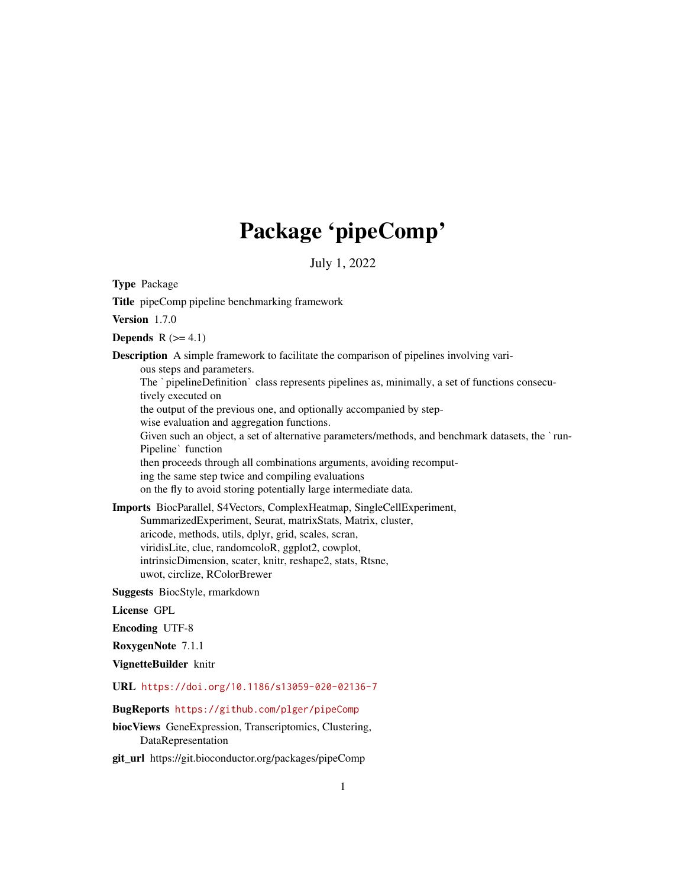## Package 'pipeComp'

July 1, 2022

Type Package

Title pipeComp pipeline benchmarking framework

Version 1.7.0

Depends  $R$  ( $>= 4.1$ )

Description A simple framework to facilitate the comparison of pipelines involving vari-

ous steps and parameters.

The `pipelineDefinition` class represents pipelines as, minimally, a set of functions consecutively executed on

the output of the previous one, and optionally accompanied by step-

wise evaluation and aggregation functions.

Fivery executed on<br>the output of the previous one, and optionally accompanied by step-<br>wise evaluation and aggregation functions.<br>Given such an object, a set of alternative parameters/methods, and benchmark datasets, the ` me output of the p<br>wise evaluation an<br>Given such an obje<br>Pipeline` function

then proceeds through all combinations arguments, avoiding recomput-

ing the same step twice and compiling evaluations

on the fly to avoid storing potentially large intermediate data.

Imports BiocParallel, S4Vectors, ComplexHeatmap, SingleCellExperiment, SummarizedExperiment, Seurat, matrixStats, Matrix, cluster, aricode, methods, utils, dplyr, grid, scales, scran,

viridisLite, clue, randomcoloR, ggplot2, cowplot,

intrinsicDimension, scater, knitr, reshape2, stats, Rtsne, uwot, circlize, RColorBrewer

Suggests BiocStyle, rmarkdown

License GPL

Encoding UTF-8

RoxygenNote 7.1.1

VignetteBuilder knitr

URL <https://doi.org/10.1186/s13059-020-02136-7>

BugReports <https://github.com/plger/pipeComp>

biocViews GeneExpression, Transcriptomics, Clustering, DataRepresentation

git\_url https://git.bioconductor.org/packages/pipeComp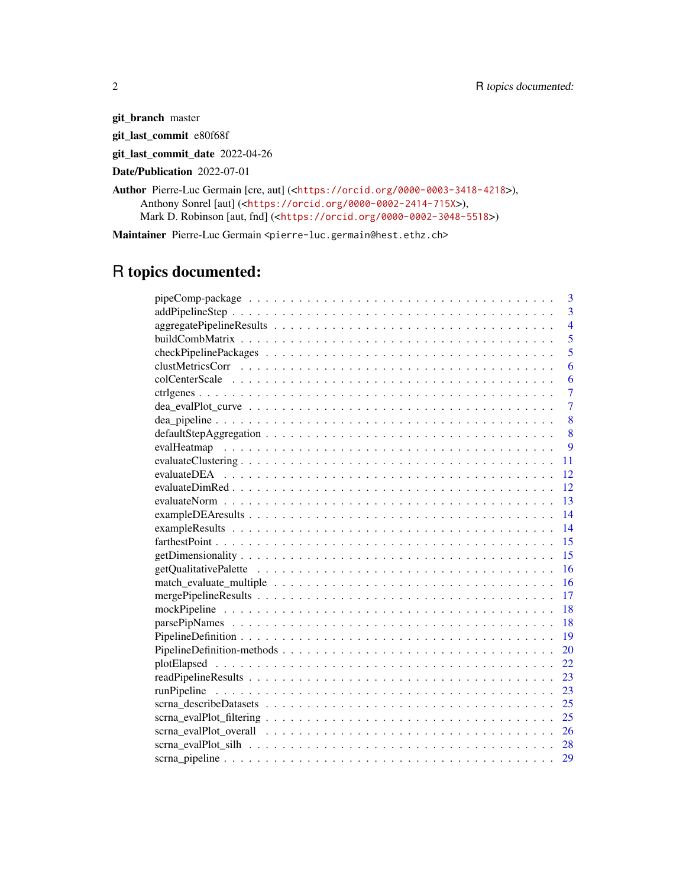git\_branch master git\_last\_commit e80f68f

git\_last\_commit\_date 2022-04-26

Date/Publication 2022-07-01

Author Pierre-Luc Germain [cre, aut] (<<https://orcid.org/0000-0003-3418-4218>>), Anthony Sonrel [aut] (<<https://orcid.org/0000-0002-2414-715X>>), Mark D. Robinson [aut, fnd] (<<https://orcid.org/0000-0002-3048-5518>>)

Maintainer Pierre-Luc Germain <pierre-luc.germain@hest.ethz.ch>

## R topics documented:

|     | 3              |
|-----|----------------|
|     | $\overline{3}$ |
|     | $\overline{4}$ |
|     | $\overline{5}$ |
|     | $\overline{5}$ |
|     | 6              |
|     | 6              |
|     | $\overline{7}$ |
|     | $\overline{7}$ |
|     | 8              |
|     | 8              |
|     | 9              |
| 11  |                |
| 12  |                |
| 12  |                |
| 13  |                |
| 14  |                |
| 14  |                |
| 15  |                |
| 15  |                |
| 16  |                |
| 16  |                |
| 17  |                |
| -18 |                |
| 18  |                |
| 19  |                |
| 20  |                |
| 22  |                |
| 23  |                |
| 23  |                |
| 25  |                |
| 25  |                |
| 26  |                |
|     |                |
| 29  |                |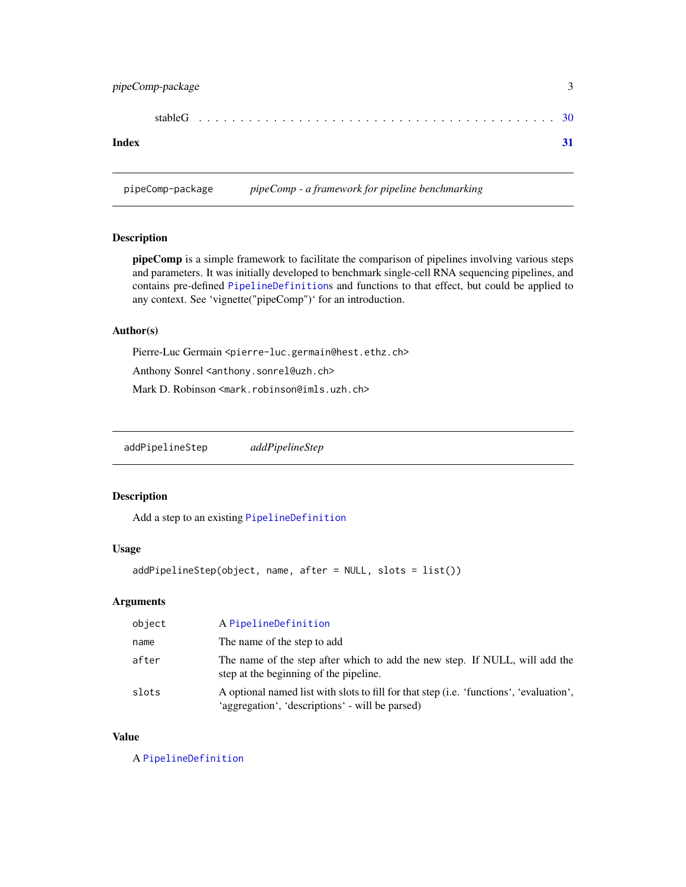## <span id="page-2-0"></span>pipeComp-package 3

| Index |  |  |  |  |  |  |  |  |  |  |  |  |  |  |  |
|-------|--|--|--|--|--|--|--|--|--|--|--|--|--|--|--|

pipeComp-package *pipeComp - a framework for pipeline benchmarking*

## Description

pipeComp is a simple framework to facilitate the comparison of pipelines involving various steps and parameters. It was initially developed to benchmark single-cell RNA sequencing pipelines, and contains pre-defined [PipelineDefinition](#page-18-1)s and functions to that effect, but could be applied to any context. See 'vignette("pipeComp")' for an introduction.

#### Author(s)

Pierre-Luc Germain <pierre-luc.germain@hest.ethz.ch>

Anthony Sonrel <anthony.sonrel@uzh.ch>

Mark D. Robinson <mark.robinson@imls.uzh.ch>

<span id="page-2-1"></span>addPipelineStep *addPipelineStep*

## Description

Add a step to an existing [PipelineDefinition](#page-18-1)

## Usage

addPipelineStep(object, name, after = NULL, slots = list())

#### Arguments

| object | A PipelineDefinition                                                                                                                       |
|--------|--------------------------------------------------------------------------------------------------------------------------------------------|
| name   | The name of the step to add                                                                                                                |
| after  | The name of the step after which to add the new step. If NULL, will add the<br>step at the beginning of the pipeline.                      |
| slots  | A optional named list with slots to fill for that step (i.e. 'functions', 'evaluation',<br>'aggregation', 'descriptions' - will be parsed) |

## Value

A [PipelineDefinition](#page-18-1)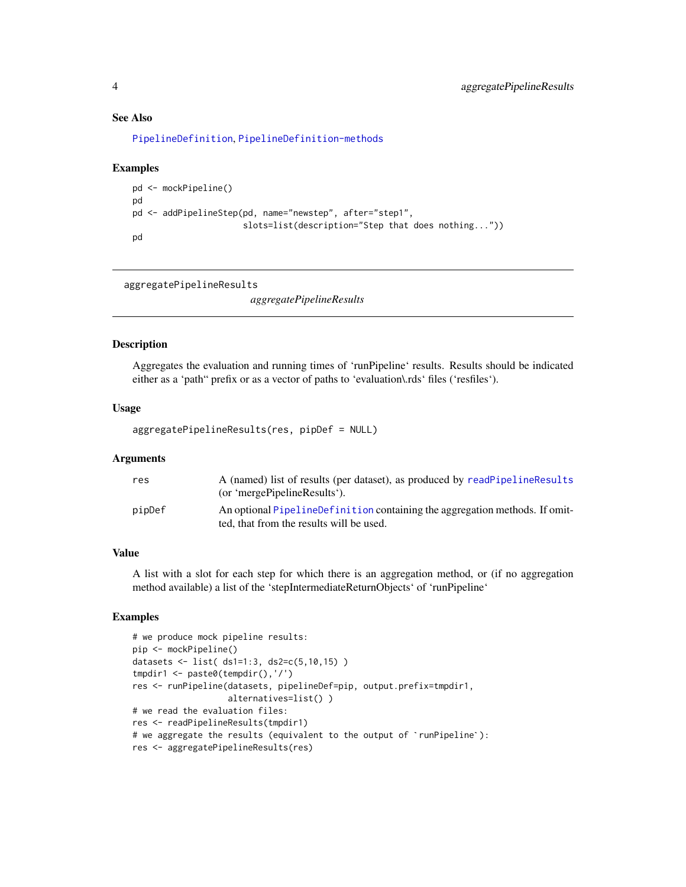## See Also

[PipelineDefinition](#page-18-1), [PipelineDefinition-methods](#page-19-1)

#### Examples

```
pd <- mockPipeline()
pd
pd <- addPipelineStep(pd, name="newstep", after="step1",
                      slots=list(description="Step that does nothing..."))
pd
```
aggregatePipelineResults

*aggregatePipelineResults*

## Description

Aggregates the evaluation and running times of 'runPipeline' results. Results should be indicated either as a 'path" prefix or as a vector of paths to 'evaluation\.rds' files ('resfiles').

#### Usage

aggregatePipelineResults(res, pipDef = NULL)

#### **Arguments**

| res    | A (named) list of results (per dataset), as produced by readPipelineResults<br>(or 'mergePipelineResults').             |
|--------|-------------------------------------------------------------------------------------------------------------------------|
| pipDef | An optional PipelineDefinition containing the aggregation methods. If omit-<br>ted, that from the results will be used. |

#### Value

A list with a slot for each step for which there is an aggregation method, or (if no aggregation method available) a list of the 'stepIntermediateReturnObjects' of 'runPipeline'

```
# we produce mock pipeline results:
pip <- mockPipeline()
datasets <- list( ds1=1:3, ds2=c(5,10,15) )
tmpdir1 <- paste0(tempdir(),'/')
res <- runPipeline(datasets, pipelineDef=pip, output.prefix=tmpdir1,
                   alternatives=list() )
# we read the evaluation files:
res <- readPipelineResults(tmpdir1)
# we aggregate the results (equivalent to the output of `runPipeline`):
res <- aggregatePipelineResults(res)
```
<span id="page-3-0"></span>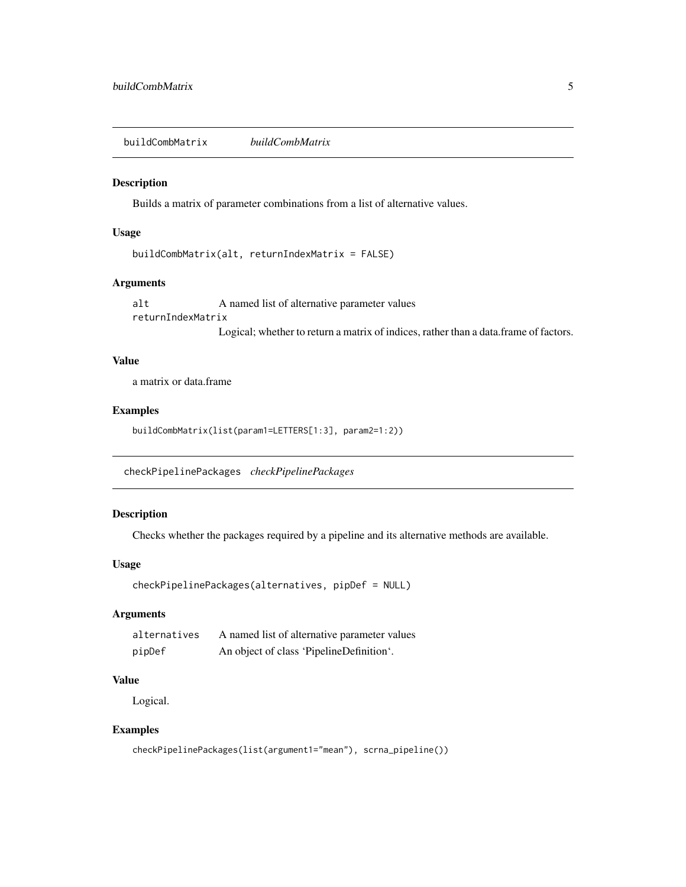<span id="page-4-0"></span>buildCombMatrix *buildCombMatrix*

#### Description

Builds a matrix of parameter combinations from a list of alternative values.

#### Usage

```
buildCombMatrix(alt, returnIndexMatrix = FALSE)
```
## Arguments

alt A named list of alternative parameter values returnIndexMatrix Logical; whether to return a matrix of indices, rather than a data.frame of factors.

#### Value

a matrix or data.frame

#### Examples

buildCombMatrix(list(param1=LETTERS[1:3], param2=1:2))

checkPipelinePackages *checkPipelinePackages*

## Description

Checks whether the packages required by a pipeline and its alternative methods are available.

#### Usage

```
checkPipelinePackages(alternatives, pipDef = NULL)
```
#### Arguments

| alternatives | A named list of alternative parameter values |
|--------------|----------------------------------------------|
| pipDef       | An object of class 'PipelineDefinition'.     |

#### Value

Logical.

```
checkPipelinePackages(list(argument1="mean"), scrna_pipeline())
```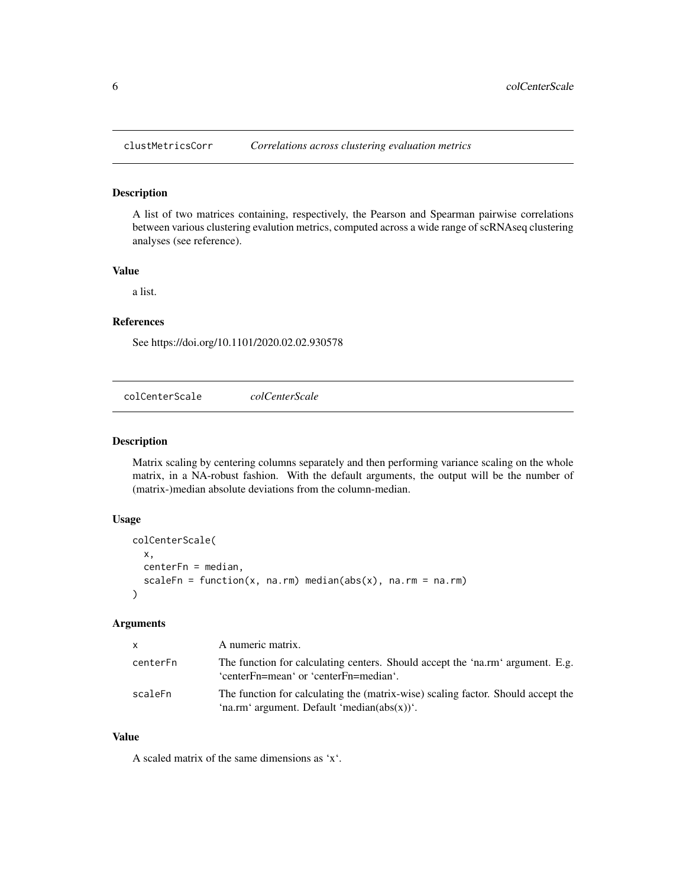<span id="page-5-0"></span>

#### Description

A list of two matrices containing, respectively, the Pearson and Spearman pairwise correlations between various clustering evalution metrics, computed across a wide range of scRNAseq clustering analyses (see reference).

## Value

a list.

## References

See https://doi.org/10.1101/2020.02.02.930578

<span id="page-5-1"></span>colCenterScale *colCenterScale*

#### Description

Matrix scaling by centering columns separately and then performing variance scaling on the whole matrix, in a NA-robust fashion. With the default arguments, the output will be the number of (matrix-)median absolute deviations from the column-median.

## Usage

```
colCenterScale(
  x,
  centerFn = median,
  scaleFn = function(x, na.rm) median(abs(x), na.rm = na.rm)
\lambda
```
#### Arguments

| <b>X</b> | A numeric matrix.                                                                                                                   |
|----------|-------------------------------------------------------------------------------------------------------------------------------------|
| centerFn | The function for calculating centers. Should accept the 'na.rm' argument. E.g.<br>'centerFn=mean' or 'centerFn=median'.             |
| scaleFn  | The function for calculating the (matrix-wise) scaling factor. Should accept the<br>'na.rm' argument. Default 'median $(abs(x))$ '. |

## Value

A scaled matrix of the same dimensions as 'x'.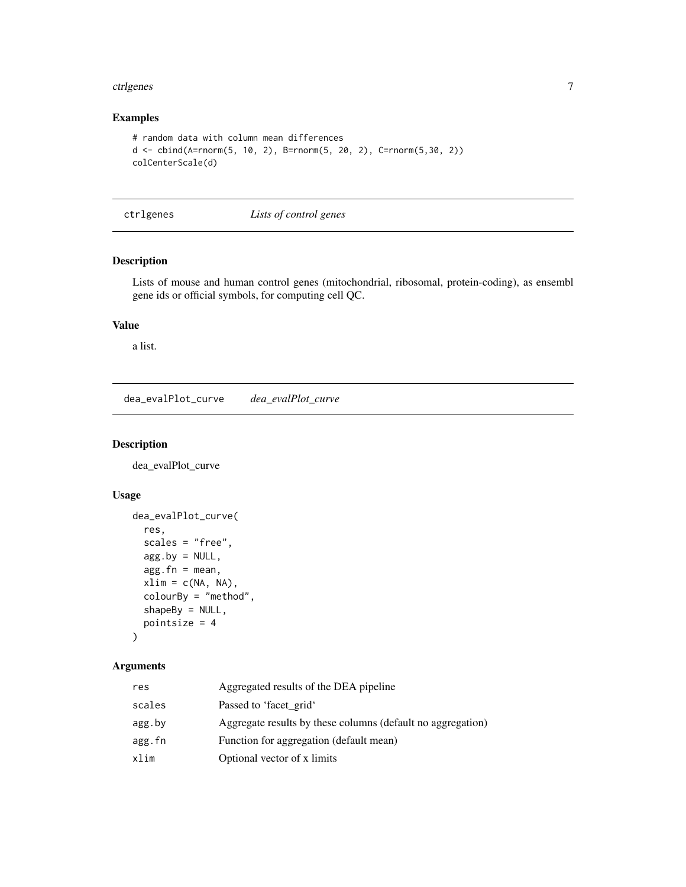#### <span id="page-6-0"></span>ctrigenes **7**

## Examples

```
# random data with column mean differences
d <- cbind(A=rnorm(5, 10, 2), B=rnorm(5, 20, 2), C=rnorm(5,30, 2))
colCenterScale(d)
```
ctrlgenes *Lists of control genes*

## Description

Lists of mouse and human control genes (mitochondrial, ribosomal, protein-coding), as ensembl gene ids or official symbols, for computing cell QC.

## Value

a list.

dea\_evalPlot\_curve *dea\_evalPlot\_curve*

#### Description

dea\_evalPlot\_curve

## Usage

```
dea_evalPlot_curve(
  res,
  scales = "free",agg.by = NULL,agg.fn = mean,xlim = c(NA, NA),
  colourBy = "method",
  shapeBy = NULL,pointsize = 4
\mathcal{L}
```
## Arguments

| res    | Aggregated results of the DEA pipeline                      |
|--------|-------------------------------------------------------------|
| scales | Passed to 'facet_grid'                                      |
| agg.by | Aggregate results by these columns (default no aggregation) |
| agg.fn | Function for aggregation (default mean)                     |
| xlim   | Optional vector of x limits                                 |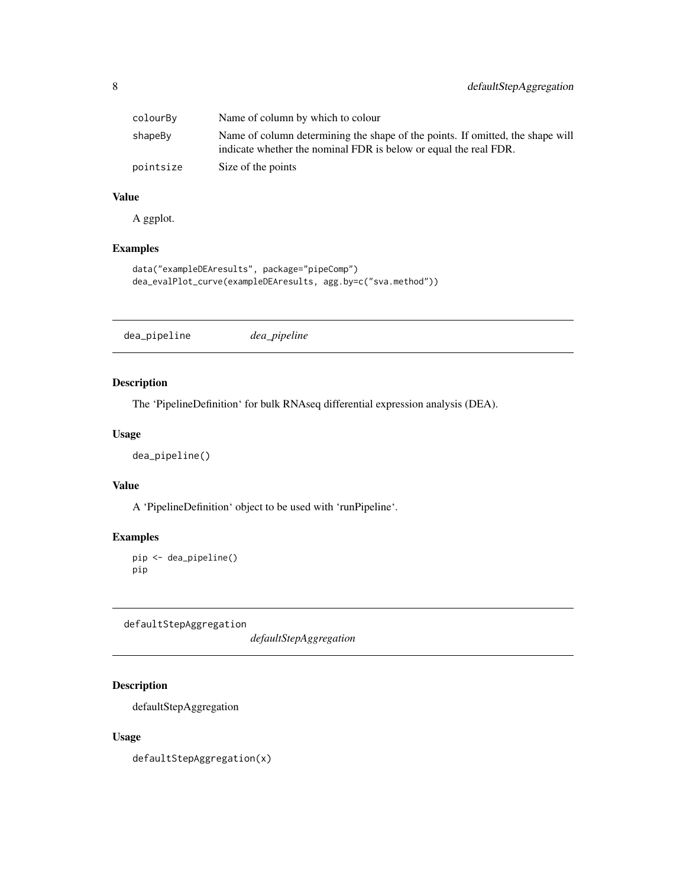<span id="page-7-0"></span>

| colourBy  | Name of column by which to colour                                                                                                                  |
|-----------|----------------------------------------------------------------------------------------------------------------------------------------------------|
| shapeBy   | Name of column determining the shape of the points. If omitted, the shape will<br>indicate whether the nominal FDR is below or equal the real FDR. |
| pointsize | Size of the points                                                                                                                                 |

## Value

A ggplot.

## Examples

```
data("exampleDEAresults", package="pipeComp")
dea_evalPlot_curve(exampleDEAresults, agg.by=c("sva.method"))
```
dea\_pipeline *dea\_pipeline*

## Description

The 'PipelineDefinition' for bulk RNAseq differential expression analysis (DEA).

#### Usage

dea\_pipeline()

#### Value

A 'PipelineDefinition' object to be used with 'runPipeline'.

## Examples

```
pip <- dea_pipeline()
pip
```
defaultStepAggregation

*defaultStepAggregation*

## Description

defaultStepAggregation

## Usage

defaultStepAggregation(x)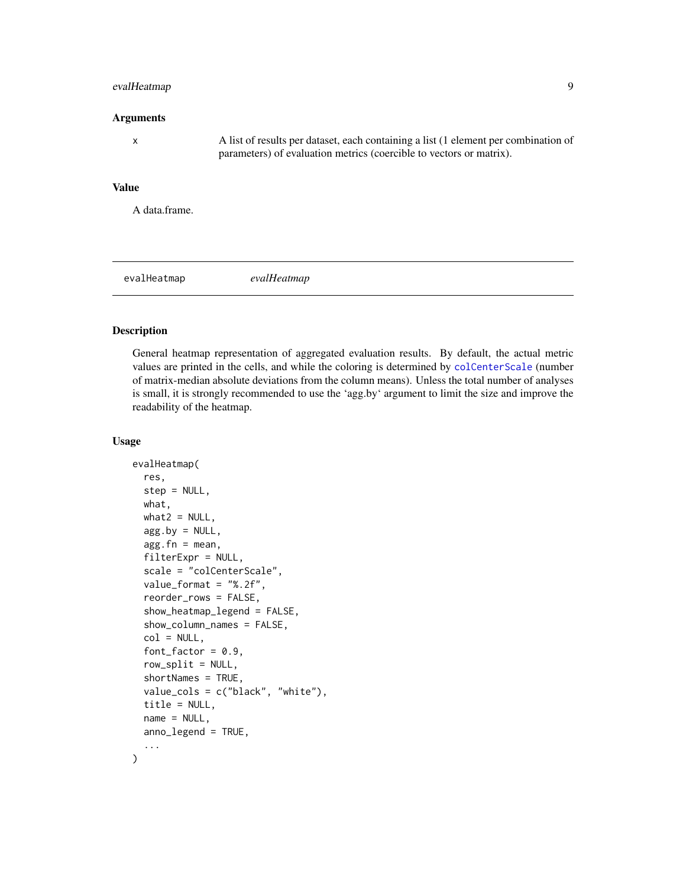#### <span id="page-8-0"></span>evalHeatmap 9

#### Arguments

x A list of results per dataset, each containing a list (1 element per combination of parameters) of evaluation metrics (coercible to vectors or matrix).

#### Value

A data.frame.

evalHeatmap *evalHeatmap*

#### Description

General heatmap representation of aggregated evaluation results. By default, the actual metric values are printed in the cells, and while the coloring is determined by [colCenterScale](#page-5-1) (number of matrix-median absolute deviations from the column means). Unless the total number of analyses is small, it is strongly recommended to use the 'agg.by' argument to limit the size and improve the readability of the heatmap.

#### Usage

```
evalHeatmap(
  res,
  step = NULL,
  what,
  what2 = NULL,agg.by = NULL,agg.fn = mean,filterExpr = NULL,
  scale = "colCenterScale",
  value_format = "%.2f",
  reorder_rows = FALSE,
  show_heatmap_legend = FALSE,
  show_column_names = FALSE,
  col = NULL,font_factor = 0.9,
  row\_split = NULL,
  shortNames = TRUE,
  value_cols = c("black", "white"),
  title = NULL,
  name = NULL,
  anno_legend = TRUE,
  ...
)
```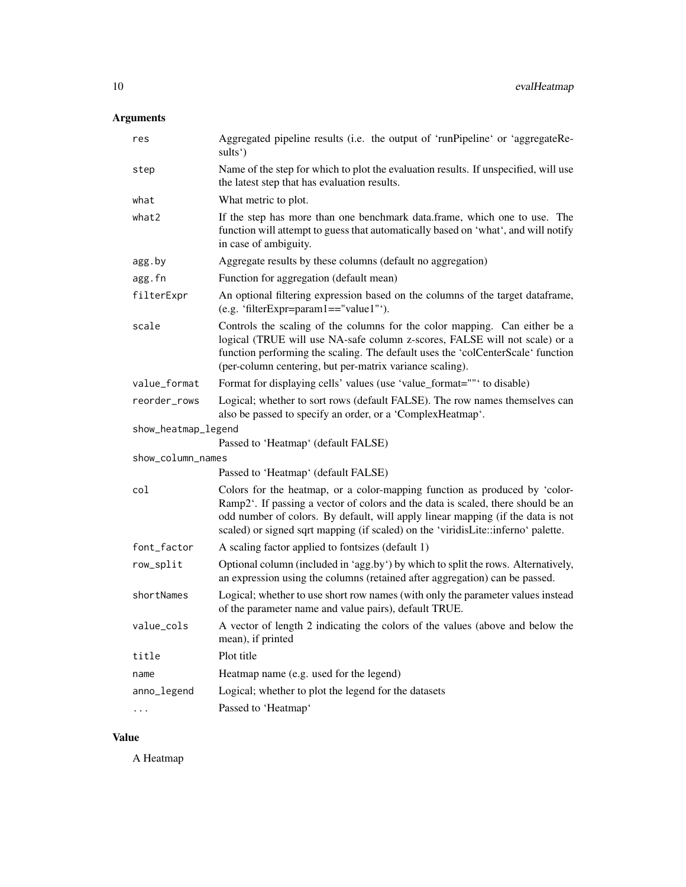## Arguments

| res                 | Aggregated pipeline results (i.e. the output of 'runPipeline' or 'aggregateRe-<br>sults')                                                                                                                                                                                                                                              |
|---------------------|----------------------------------------------------------------------------------------------------------------------------------------------------------------------------------------------------------------------------------------------------------------------------------------------------------------------------------------|
| step                | Name of the step for which to plot the evaluation results. If unspecified, will use<br>the latest step that has evaluation results.                                                                                                                                                                                                    |
| what                | What metric to plot.                                                                                                                                                                                                                                                                                                                   |
| what2               | If the step has more than one benchmark data.frame, which one to use. The<br>function will attempt to guess that automatically based on 'what', and will notify<br>in case of ambiguity.                                                                                                                                               |
| agg.by              | Aggregate results by these columns (default no aggregation)                                                                                                                                                                                                                                                                            |
| agg.fn              | Function for aggregation (default mean)                                                                                                                                                                                                                                                                                                |
| filterExpr          | An optional filtering expression based on the columns of the target dataframe,<br>(e.g. 'filterExpr=param1=="value1"').                                                                                                                                                                                                                |
| scale               | Controls the scaling of the columns for the color mapping. Can either be a<br>logical (TRUE will use NA-safe column z-scores, FALSE will not scale) or a<br>function performing the scaling. The default uses the 'colCenterScale' function<br>(per-column centering, but per-matrix variance scaling).                                |
| value_format        | Format for displaying cells' values (use 'value_format=""' to disable)                                                                                                                                                                                                                                                                 |
| reorder_rows        | Logical; whether to sort rows (default FALSE). The row names themselves can<br>also be passed to specify an order, or a 'ComplexHeatmap'.                                                                                                                                                                                              |
|                     |                                                                                                                                                                                                                                                                                                                                        |
| show_heatmap_legend |                                                                                                                                                                                                                                                                                                                                        |
|                     | Passed to 'Heatmap' (default FALSE)                                                                                                                                                                                                                                                                                                    |
| show_column_names   |                                                                                                                                                                                                                                                                                                                                        |
|                     | Passed to 'Heatmap' (default FALSE)                                                                                                                                                                                                                                                                                                    |
| col                 | Colors for the heatmap, or a color-mapping function as produced by 'color-<br>Ramp2'. If passing a vector of colors and the data is scaled, there should be an<br>odd number of colors. By default, will apply linear mapping (if the data is not<br>scaled) or signed sqrt mapping (if scaled) on the 'viridisLite::inferno' palette. |
| font_factor         | A scaling factor applied to fontsizes (default 1)                                                                                                                                                                                                                                                                                      |
| row_split           | Optional column (included in 'agg.by') by which to split the rows. Alternatively,<br>an expression using the columns (retained after aggregation) can be passed.                                                                                                                                                                       |
| shortNames          | Logical; whether to use short row names (with only the parameter values instead<br>of the parameter name and value pairs), default TRUE.                                                                                                                                                                                               |
| value_cols          | A vector of length 2 indicating the colors of the values (above and below the<br>mean), if printed                                                                                                                                                                                                                                     |
| title               | Plot title                                                                                                                                                                                                                                                                                                                             |
| name                | Heatmap name (e.g. used for the legend)                                                                                                                                                                                                                                                                                                |
| anno_legend         | Logical; whether to plot the legend for the datasets                                                                                                                                                                                                                                                                                   |

## Value

A Heatmap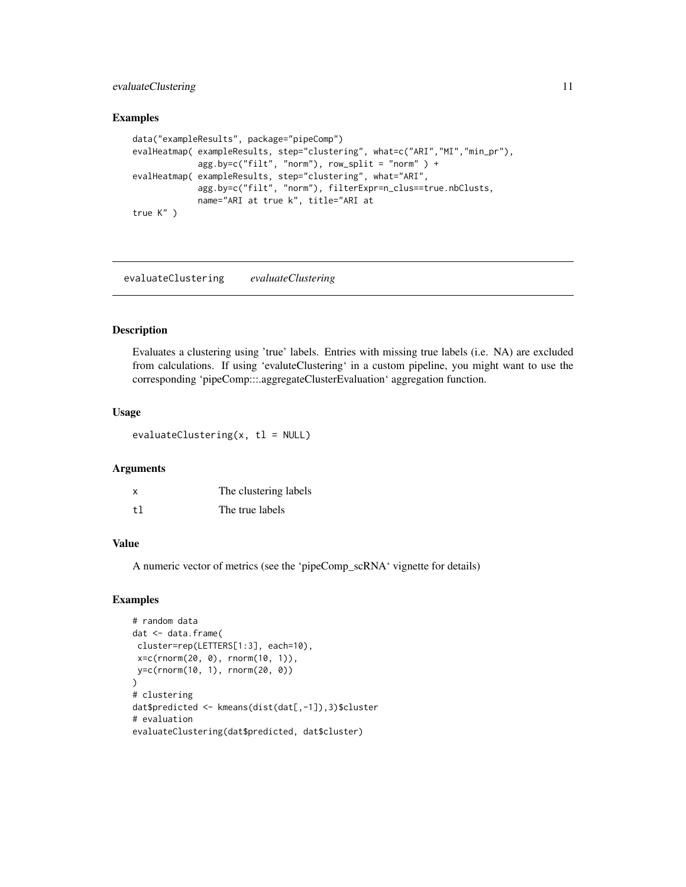## <span id="page-10-0"></span>evaluateClustering 11

#### Examples

```
data("exampleResults", package="pipeComp")
evalHeatmap( exampleResults, step="clustering", what=c("ARI","MI","min_pr"),
             agg.by=c("filt", "norm"), row_split = "norm" ) +
evalHeatmap( exampleResults, step="clustering", what="ARI",
             agg.by=c("filt", "norm"), filterExpr=n_clus==true.nbClusts,
             name="ARI at true k", title="ARI at
true K" )
```
evaluateClustering *evaluateClustering*

#### Description

Evaluates a clustering using 'true' labels. Entries with missing true labels (i.e. NA) are excluded from calculations. If using 'evaluteClustering' in a custom pipeline, you might want to use the corresponding 'pipeComp:::.aggregateClusterEvaluation' aggregation function.

## Usage

evaluateClustering $(x, t1 = NULL)$ 

#### Arguments

| $\boldsymbol{\mathsf{x}}$ | The clustering labels |
|---------------------------|-----------------------|
| tl                        | The true labels       |

#### Value

A numeric vector of metrics (see the 'pipeComp\_scRNA' vignette for details)

```
# random data
dat <- data.frame(
cluster=rep(LETTERS[1:3], each=10),
x=c(rnorm(20, 0), rnorm(10, 1)),
y=c(rnorm(10, 1), rnorm(20, 0))
\mathcal{L}# clustering
dat$predicted <- kmeans(dist(dat[,-1]),3)$cluster
# evaluation
evaluateClustering(dat$predicted, dat$cluster)
```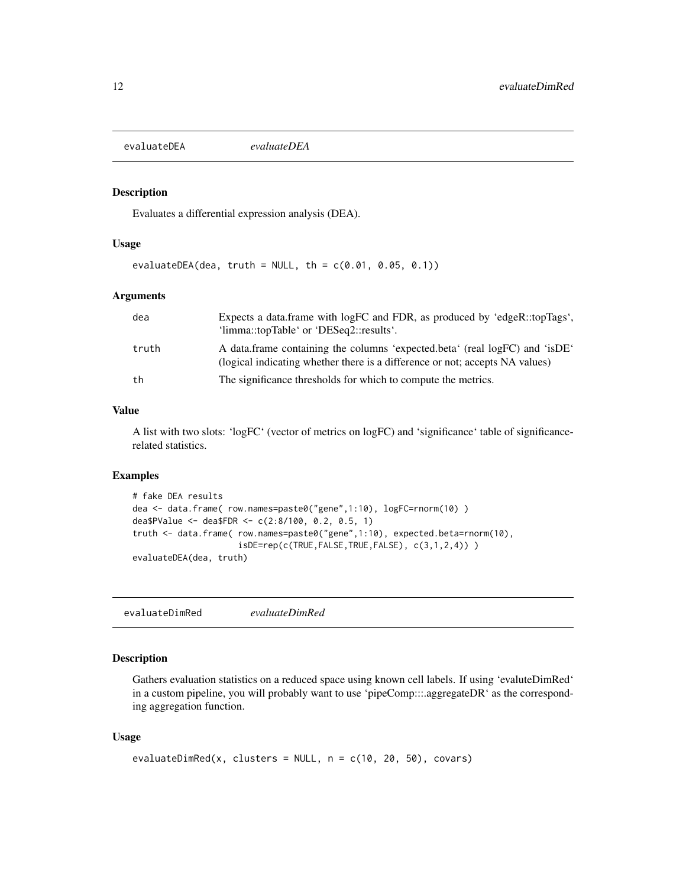<span id="page-11-0"></span>evaluateDEA *evaluateDEA*

#### Description

Evaluates a differential expression analysis (DEA).

#### Usage

```
evaluateDEA(dea, truth = NULL, th = c(0.01, 0.05, 0.1))
```
## Arguments

| dea   | Expects a data frame with logFC and FDR, as produced by 'edgeR::topTags',<br>'limma::topTable' or 'DESeq2::results'.                                        |
|-------|-------------------------------------------------------------------------------------------------------------------------------------------------------------|
| truth | A data frame containing the columns 'expected.beta' (real logFC) and 'isDE'<br>(logical indicating whether there is a difference or not; accepts NA values) |
| th    | The significance thresholds for which to compute the metrics.                                                                                               |

#### Value

A list with two slots: 'logFC' (vector of metrics on logFC) and 'significance' table of significancerelated statistics.

#### Examples

```
# fake DEA results
dea <- data.frame( row.names=paste0("gene",1:10), logFC=rnorm(10) )
dea$PValue <- dea$FDR <- c(2:8/100, 0.2, 0.5, 1)
truth <- data.frame( row.names=paste0("gene",1:10), expected.beta=rnorm(10),
                     isDE=rep(c(TRUE,FALSE,TRUE,FALSE), c(3,1,2,4)) )
evaluateDEA(dea, truth)
```
evaluateDimRed *evaluateDimRed*

## Description

Gathers evaluation statistics on a reduced space using known cell labels. If using 'evaluteDimRed' in a custom pipeline, you will probably want to use 'pipeComp:::.aggregateDR' as the corresponding aggregation function.

#### Usage

```
evaluateDimRed(x, clusters = NULL, n = c(10, 20, 50), covars)
```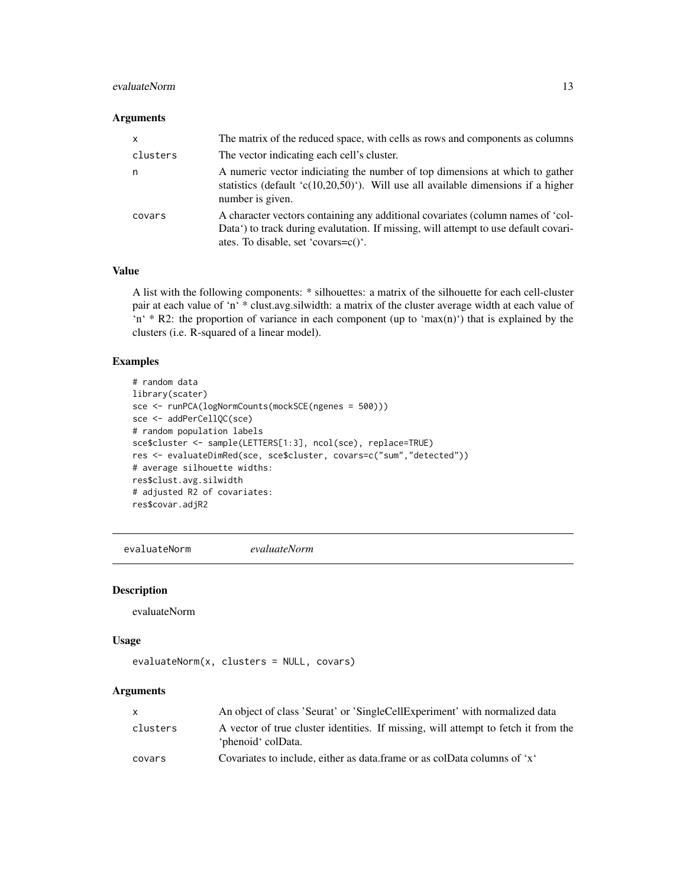## <span id="page-12-0"></span>evaluateNorm 13

## Arguments

| $\mathsf{x}$ | The matrix of the reduced space, with cells as rows and components as columns                                                                                                                                 |
|--------------|---------------------------------------------------------------------------------------------------------------------------------------------------------------------------------------------------------------|
| clusters     | The vector indicating each cell's cluster.                                                                                                                                                                    |
| n            | A numeric vector indiciating the number of top dimensions at which to gather<br>statistics (default 'c(10,20,50)'). Will use all available dimensions if a higher<br>number is given.                         |
| covars       | A character vectors containing any additional covariates (column names of 'col-<br>Data') to track during evalutation. If missing, will attempt to use default covari-<br>ates. To disable, set 'covars=c()'. |

## Value

A list with the following components: \* silhouettes: a matrix of the silhouette for each cell-cluster pair at each value of 'n' \* clust.avg.silwidth: a matrix of the cluster average width at each value of 'n'  $*$  R2: the proportion of variance in each component (up to 'max(n)') that is explained by the clusters (i.e. R-squared of a linear model).

## Examples

```
# random data
library(scater)
sce <- runPCA(logNormCounts(mockSCE(ngenes = 500)))
sce <- addPerCellQC(sce)
# random population labels
sce$cluster <- sample(LETTERS[1:3], ncol(sce), replace=TRUE)
res <- evaluateDimRed(sce, sce$cluster, covars=c("sum","detected"))
# average silhouette widths:
res$clust.avg.silwidth
# adjusted R2 of covariates:
res$covar.adjR2
```
evaluateNorm *evaluateNorm*

#### Description

evaluateNorm

#### Usage

```
evaluateNorm(x, clusters = NULL, covars)
```
## **Arguments**

| x.       | An object of class 'Seurat' or 'SingleCellExperiment' with normalized data                               |
|----------|----------------------------------------------------------------------------------------------------------|
| clusters | A vector of true cluster identities. If missing, will attempt to fetch it from the<br>'phenoid' colData. |
| covars   | Covariates to include, either as data frame or as colData columns of 'x'                                 |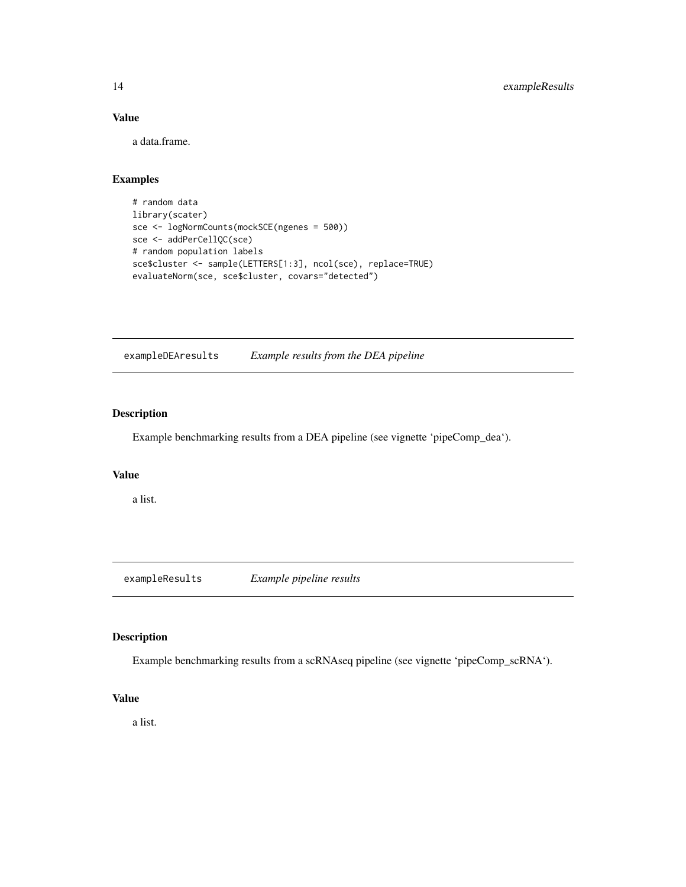## Value

a data.frame.

## Examples

```
# random data
library(scater)
sce <- logNormCounts(mockSCE(ngenes = 500))
sce <- addPerCellQC(sce)
# random population labels
sce$cluster <- sample(LETTERS[1:3], ncol(sce), replace=TRUE)
evaluateNorm(sce, sce$cluster, covars="detected")
```
exampleDEAresults *Example results from the DEA pipeline*

## Description

Example benchmarking results from a DEA pipeline (see vignette 'pipeComp\_dea').

## Value

a list.

exampleResults *Example pipeline results*

#### Description

Example benchmarking results from a scRNAseq pipeline (see vignette 'pipeComp\_scRNA').

#### Value

a list.

<span id="page-13-0"></span>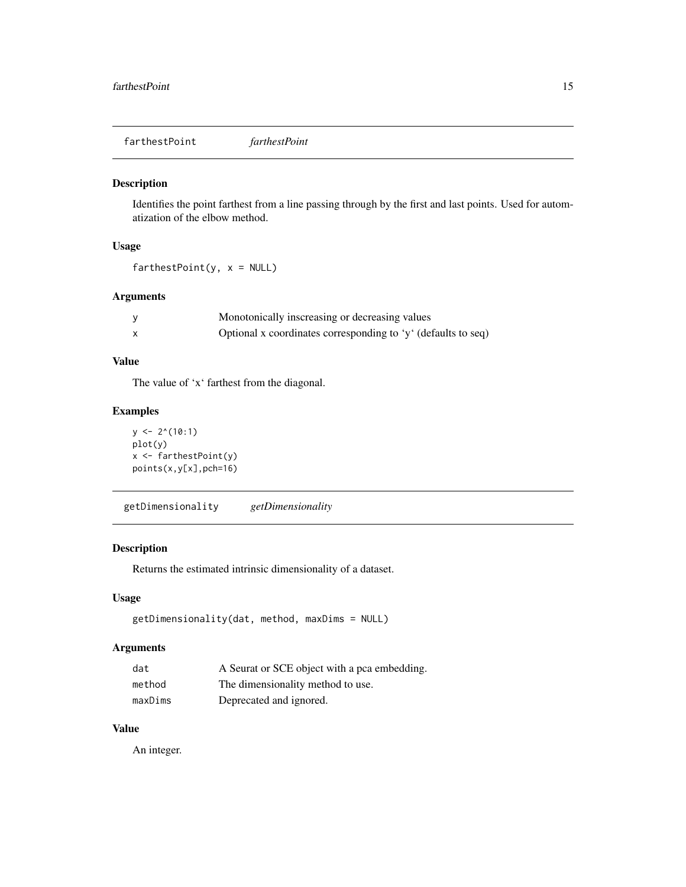<span id="page-14-0"></span>farthestPoint *farthestPoint*

#### Description

Identifies the point farthest from a line passing through by the first and last points. Used for automatization of the elbow method.

## Usage

 $farthestPoint(y, x = NULL)$ 

#### Arguments

| Monotonically inscreasing or decreasing values                |
|---------------------------------------------------------------|
| Optional x coordinates corresponding to 'y' (defaults to seq) |

## Value

The value of 'x' farthest from the diagonal.

## Examples

```
y \leftarrow 2^(10:1)plot(y)
x <- farthestPoint(y)
points(x,y[x],pch=16)
```
getDimensionality *getDimensionality*

## Description

Returns the estimated intrinsic dimensionality of a dataset.

## Usage

```
getDimensionality(dat, method, maxDims = NULL)
```
## Arguments

| dat     | A Seurat or SCE object with a pca embedding. |
|---------|----------------------------------------------|
| method  | The dimensionality method to use.            |
| maxDims | Deprecated and ignored.                      |

## Value

An integer.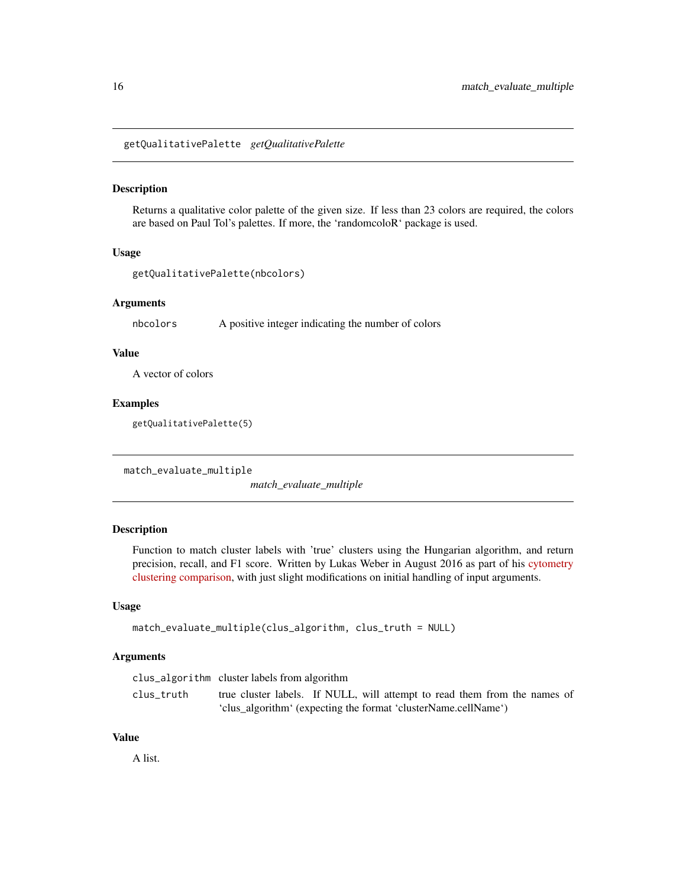<span id="page-15-0"></span>getQualitativePalette *getQualitativePalette*

#### Description

Returns a qualitative color palette of the given size. If less than 23 colors are required, the colors are based on Paul Tol's palettes. If more, the 'randomcoloR' package is used.

## Usage

```
getQualitativePalette(nbcolors)
```
#### Arguments

nbcolors A positive integer indicating the number of colors

#### Value

A vector of colors

#### Examples

getQualitativePalette(5)

match\_evaluate\_multiple

*match\_evaluate\_multiple*

## Description

Function to match cluster labels with 'true' clusters using the Hungarian algorithm, and return precision, recall, and F1 score. Written by Lukas Weber in August 2016 as part of his [cytometry](https://github.com/lmweber/cytometry-clustering-comparison) [clustering comparison,](https://github.com/lmweber/cytometry-clustering-comparison) with just slight modifications on initial handling of input arguments.

#### Usage

```
match_evaluate_multiple(clus_algorithm, clus_truth = NULL)
```
#### Arguments

|            | clus_algorithm cluster labels from algorithm                              |
|------------|---------------------------------------------------------------------------|
| clus truth | true cluster labels. If NULL, will attempt to read them from the names of |
|            | 'clus_algorithm' (expecting the format 'clusterName.cellName')            |

#### Value

A list.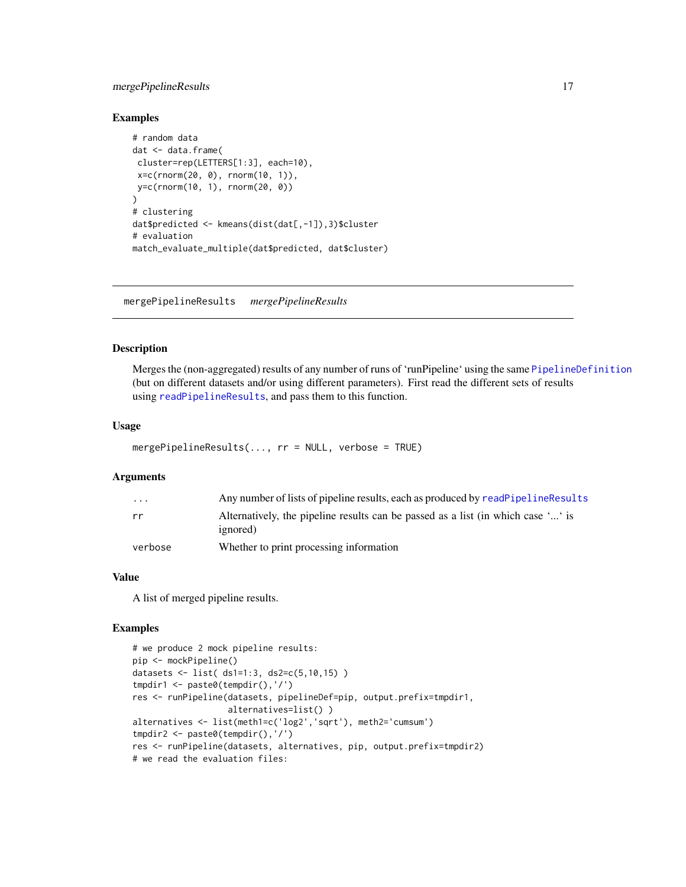## <span id="page-16-0"></span>mergePipelineResults 17

#### Examples

```
# random data
dat <- data.frame(
cluster=rep(LETTERS[1:3], each=10),
 x=c(rnorm(20, 0), rnorm(10, 1)),
y=c(rnorm(10, 1), rnorm(20, 0))
)
# clustering
dat$predicted <- kmeans(dist(dat[,-1]),3)$cluster
# evaluation
match_evaluate_multiple(dat$predicted, dat$cluster)
```
mergePipelineResults *mergePipelineResults*

#### Description

Merges the (non-aggregated) results of any number of runs of 'runPipeline' using the same [PipelineDefinition](#page-18-1) (but on different datasets and/or using different parameters). First read the different sets of results using [readPipelineResults](#page-22-1), and pass them to this function.

#### Usage

```
mergePipelineResults(..., rr = NULL, verbose = TRUE)
```
#### Arguments

| $\cdot$ $\cdot$ $\cdot$ | Any number of lists of pipeline results, each as produced by readPipelineResults                     |
|-------------------------|------------------------------------------------------------------------------------------------------|
| rr                      | Alternatively, the pipeline results can be passed as a list (in which case '' is<br><i>ignored</i> ) |
| verbose                 | Whether to print processing information                                                              |

#### Value

A list of merged pipeline results.

```
# we produce 2 mock pipeline results:
pip <- mockPipeline()
datasets <- list( ds1=1:3, ds2=c(5,10,15) )
tmpdir1 <- paste0(tempdir(),'/')
res <- runPipeline(datasets, pipelineDef=pip, output.prefix=tmpdir1,
                   alternatives=list() )
alternatives <- list(meth1=c('log2','sqrt'), meth2='cumsum')
tmpdir2 <- paste0(tempdir(),'/')
res <- runPipeline(datasets, alternatives, pip, output.prefix=tmpdir2)
# we read the evaluation files:
```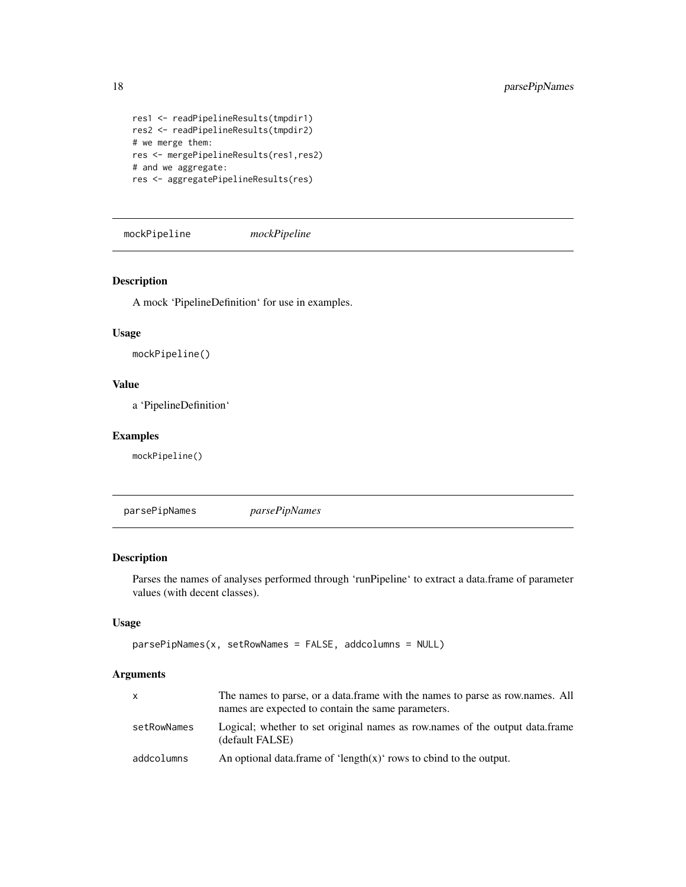```
res1 <- readPipelineResults(tmpdir1)
res2 <- readPipelineResults(tmpdir2)
# we merge them:
res <- mergePipelineResults(res1,res2)
# and we aggregate:
res <- aggregatePipelineResults(res)
```
mockPipeline *mockPipeline*

#### Description

A mock 'PipelineDefinition' for use in examples.

#### Usage

mockPipeline()

#### Value

a 'PipelineDefinition'

#### Examples

mockPipeline()

parsePipNames *parsePipNames*

#### Description

Parses the names of analyses performed through 'runPipeline' to extract a data.frame of parameter values (with decent classes).

## Usage

```
parsePipNames(x, setRowNames = FALSE, addcolumns = NULL)
```
#### Arguments

| X           | The names to parse, or a data frame with the names to parse as row names. All<br>names are expected to contain the same parameters. |
|-------------|-------------------------------------------------------------------------------------------------------------------------------------|
| setRowNames | Logical; whether to set original names as row.names of the output data.frame<br>(default FALSE)                                     |
| addcolumns  | An optional data, frame of 'length $(x)$ ' rows to chind to the output.                                                             |

<span id="page-17-0"></span>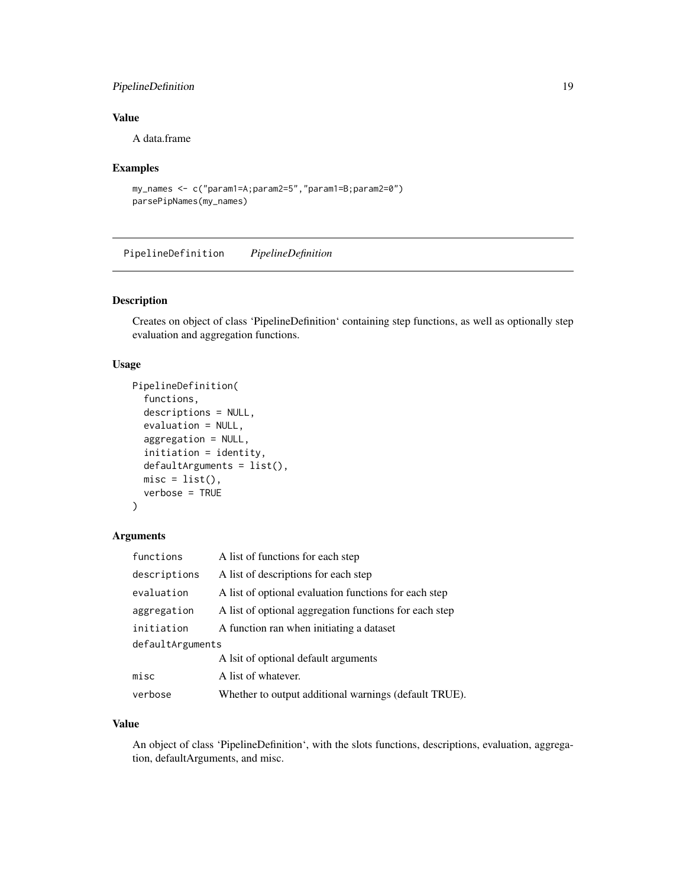## <span id="page-18-0"></span>PipelineDefinition 19

## Value

A data.frame

#### Examples

```
my_names <- c("param1=A;param2=5","param1=B;param2=0")
parsePipNames(my_names)
```
<span id="page-18-1"></span>PipelineDefinition *PipelineDefinition*

## Description

Creates on object of class 'PipelineDefinition' containing step functions, as well as optionally step evaluation and aggregation functions.

## Usage

```
PipelineDefinition(
  functions,
  descriptions = NULL,
  evaluation = NULL,
  aggregation = NULL,
  initiation = identity,
  defaultArguments = list(),
 misc = list(),
  verbose = TRUE
)
```
## Arguments

| functions        | A list of functions for each step                      |
|------------------|--------------------------------------------------------|
| descriptions     | A list of descriptions for each step                   |
| evaluation       | A list of optional evaluation functions for each step  |
| aggregation      | A list of optional aggregation functions for each step |
| initiation       | A function ran when initiating a dataset               |
| defaultArguments |                                                        |
|                  | A lsit of optional default arguments                   |
| misc             | A list of whatever.                                    |
| verbose          | Whether to output additional warnings (default TRUE).  |

#### Value

An object of class 'PipelineDefinition', with the slots functions, descriptions, evaluation, aggregation, defaultArguments, and misc.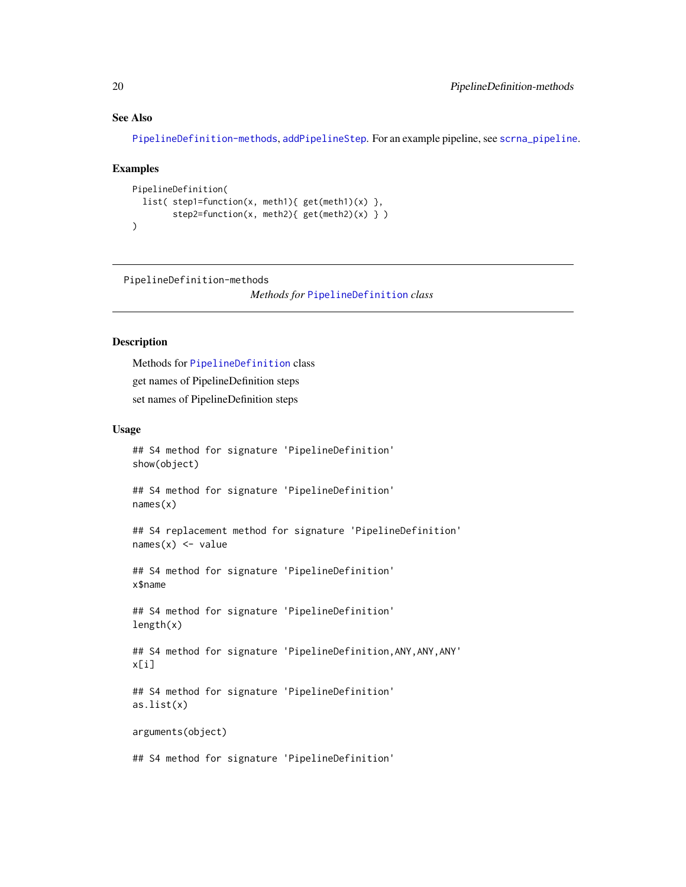## <span id="page-19-0"></span>See Also

[PipelineDefinition-methods](#page-19-1), [addPipelineStep](#page-2-1). For an example pipeline, see [scrna\\_pipeline](#page-28-1).

#### Examples

```
PipelineDefinition(
  list( step1=function(x, meth1){ get(meth1)(x) },
        step2=function(x, meth2){ get(meth2)(x) } )
)
```
<span id="page-19-1"></span>PipelineDefinition-methods

*Methods for* [PipelineDefinition](#page-18-1) *class*

## Description

Methods for [PipelineDefinition](#page-18-1) class get names of PipelineDefinition steps set names of PipelineDefinition steps

#### Usage

```
## S4 method for signature 'PipelineDefinition'
show(object)
```
## S4 method for signature 'PipelineDefinition' names(x)

## S4 replacement method for signature 'PipelineDefinition'  $names(x)$  <- value

## S4 method for signature 'PipelineDefinition' x\$name

## S4 method for signature 'PipelineDefinition' length(x)

## S4 method for signature 'PipelineDefinition,ANY,ANY,ANY' x[i]

## S4 method for signature 'PipelineDefinition' as.list(x)

arguments(object)

## S4 method for signature 'PipelineDefinition'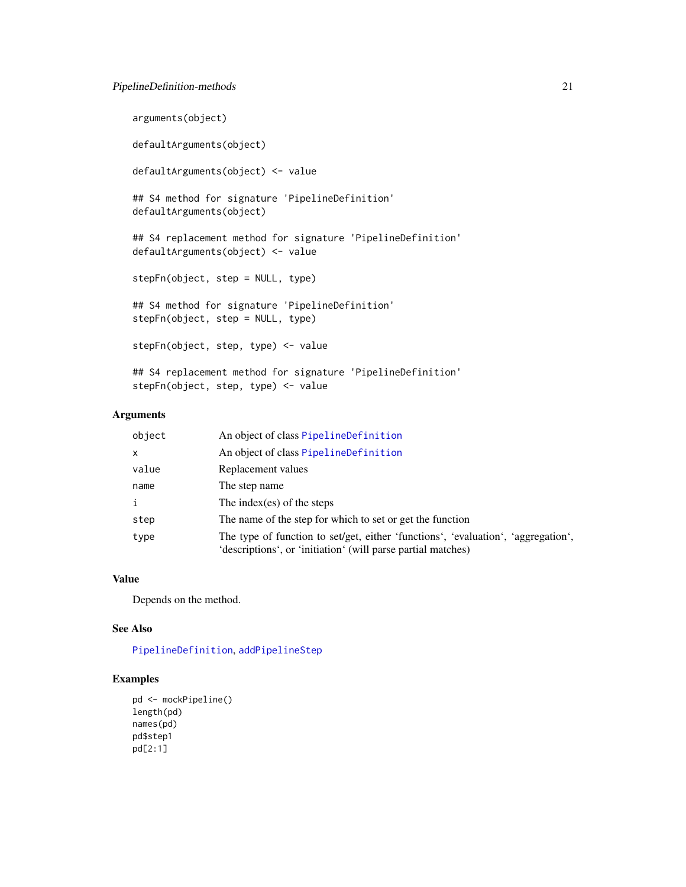## <span id="page-20-0"></span>PipelineDefinition-methods 21

```
arguments(object)
defaultArguments(object)
defaultArguments(object) <- value
## S4 method for signature 'PipelineDefinition'
defaultArguments(object)
## S4 replacement method for signature 'PipelineDefinition'
defaultArguments(object) <- value
stepFn(object, step = NULL, type)
## S4 method for signature 'PipelineDefinition'
stepFn(object, step = NULL, type)
stepFn(object, step, type) <- value
## S4 replacement method for signature 'PipelineDefinition'
stepFn(object, step, type) <- value
```
## Arguments

| object       | An object of class PipelineDefinition                                                                                                             |
|--------------|---------------------------------------------------------------------------------------------------------------------------------------------------|
| x            | An object of class PipelineDefinition                                                                                                             |
| value        | Replacement values                                                                                                                                |
| name         | The step name                                                                                                                                     |
| $\mathbf{i}$ | The index (es) of the steps                                                                                                                       |
| step         | The name of the step for which to set or get the function                                                                                         |
| type         | The type of function to set/get, either 'functions', 'evaluation', 'aggregation',<br>'descriptions', or 'initiation' (will parse partial matches) |

## Value

Depends on the method.

#### See Also

[PipelineDefinition](#page-18-1), [addPipelineStep](#page-2-1)

```
pd <- mockPipeline()
length(pd)
names(pd)
pd$step1
pd[2:1]
```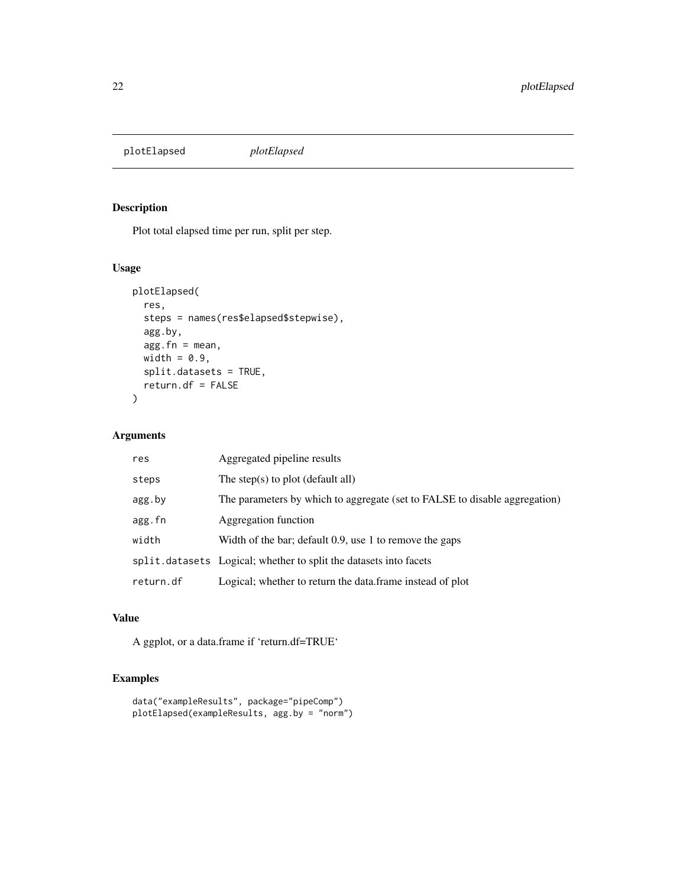<span id="page-21-0"></span>plotElapsed *plotElapsed*

## Description

Plot total elapsed time per run, split per step.

#### Usage

```
plotElapsed(
  res,
  steps = names(res$elapsed$stepwise),
  agg.by,
 agg.fn = mean,width = 0.9,
  split.datasets = TRUE,
 return.df = FALSE
)
```
## Arguments

| res       | Aggregated pipeline results                                                |
|-----------|----------------------------------------------------------------------------|
| steps     | The step $(s)$ to plot (default all)                                       |
| agg.by    | The parameters by which to aggregate (set to FALSE to disable aggregation) |
| agg.fn    | Aggregation function                                                       |
| width     | Width of the bar; default 0.9, use 1 to remove the gaps                    |
|           | split.datasets Logical; whether to split the datasets into facets          |
| return.df | Logical; whether to return the data.frame instead of plot                  |

## Value

A ggplot, or a data.frame if 'return.df=TRUE'

```
data("exampleResults", package="pipeComp")
plotElapsed(exampleResults, agg.by = "norm")
```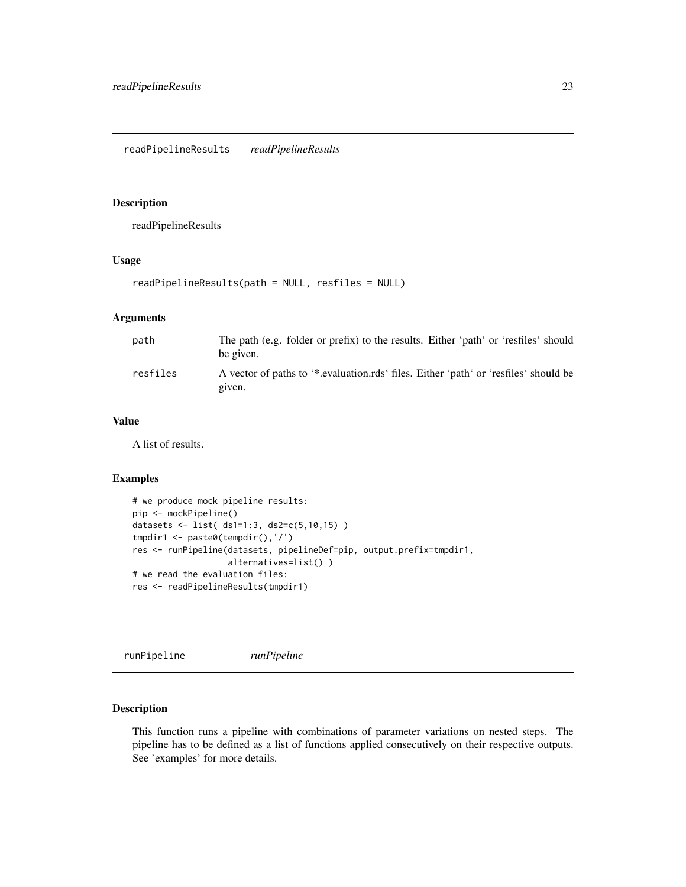## <span id="page-22-1"></span><span id="page-22-0"></span>Description

readPipelineResults

#### Usage

```
readPipelineResults(path = NULL, resfiles = NULL)
```
## Arguments

| path     | The path (e.g. folder or prefix) to the results. Either 'path' or 'resfiles' should<br>be given. |
|----------|--------------------------------------------------------------------------------------------------|
| resfiles | A vector of paths to '*.evaluation.rds' files. Either 'path' or 'resfiles' should be<br>given.   |

## Value

A list of results.

#### Examples

```
# we produce mock pipeline results:
pip <- mockPipeline()
datasets <- list( ds1=1:3, ds2=c(5,10,15) )
tmpdir1 <- paste0(tempdir(),'/')
res <- runPipeline(datasets, pipelineDef=pip, output.prefix=tmpdir1,
                   alternatives=list() )
# we read the evaluation files:
res <- readPipelineResults(tmpdir1)
```
runPipeline *runPipeline*

## Description

This function runs a pipeline with combinations of parameter variations on nested steps. The pipeline has to be defined as a list of functions applied consecutively on their respective outputs. See 'examples' for more details.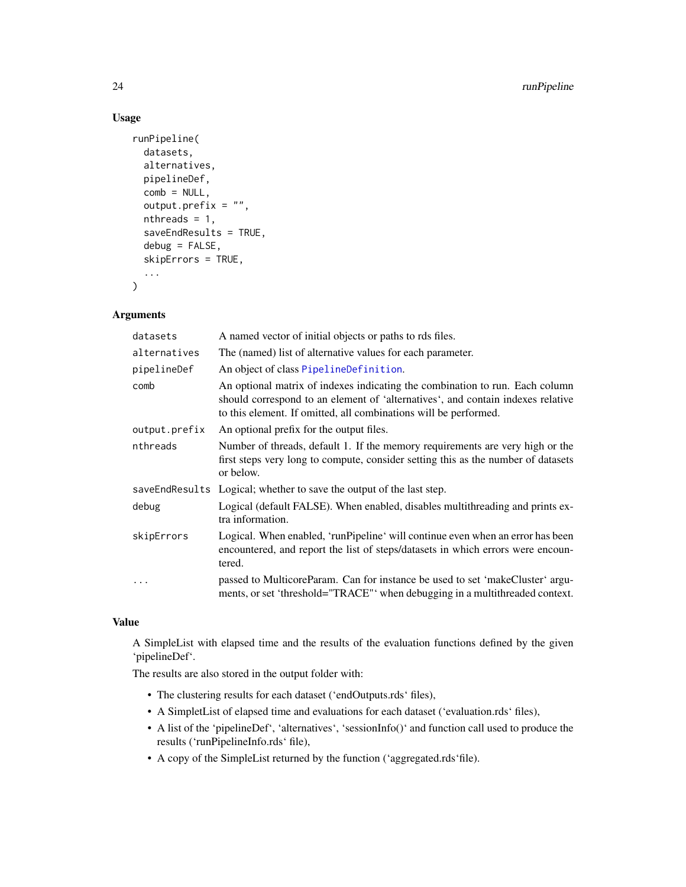## Usage

```
runPipeline(
 datasets,
  alternatives,
 pipelineDef,
  comb = NULL,output.prefix = ",
  nthreads = 1,
  saveEndResults = TRUE,
  debug = FALSE,
  skipErrors = TRUE,
  ...
)
```
## Arguments

| datasets      | A named vector of initial objects or paths to rds files.                                                                                                                                                                            |
|---------------|-------------------------------------------------------------------------------------------------------------------------------------------------------------------------------------------------------------------------------------|
| alternatives  | The (named) list of alternative values for each parameter.                                                                                                                                                                          |
| pipelineDef   | An object of class PipelineDefinition.                                                                                                                                                                                              |
| comb          | An optional matrix of indexes indicating the combination to run. Each column<br>should correspond to an element of 'alternatives', and contain indexes relative<br>to this element. If omitted, all combinations will be performed. |
| output.prefix | An optional prefix for the output files.                                                                                                                                                                                            |
| nthreads      | Number of threads, default 1. If the memory requirements are very high or the<br>first steps very long to compute, consider setting this as the number of datasets<br>or below.                                                     |
|               | saveEndResults Logical; whether to save the output of the last step.                                                                                                                                                                |
| debug         | Logical (default FALSE). When enabled, disables multithreading and prints ex-<br>tra information.                                                                                                                                   |
| skipErrors    | Logical. When enabled, 'runPipeline' will continue even when an error has been<br>encountered, and report the list of steps/datasets in which errors were encoun-<br>tered.                                                         |
|               | passed to MulticoreParam. Can for instance be used to set 'makeCluster' argu-<br>ments, or set 'threshold="TRACE" when debugging in a multithreaded context.                                                                        |

## Value

A SimpleList with elapsed time and the results of the evaluation functions defined by the given 'pipelineDef'.

The results are also stored in the output folder with:

- The clustering results for each dataset ('endOutputs.rds' files),
- A SimpletList of elapsed time and evaluations for each dataset ('evaluation.rds' files),
- A list of the 'pipelineDef', 'alternatives', 'sessionInfo()' and function call used to produce the results ('runPipelineInfo.rds' file),
- A copy of the SimpleList returned by the function ('aggregated.rds'file).

<span id="page-23-0"></span>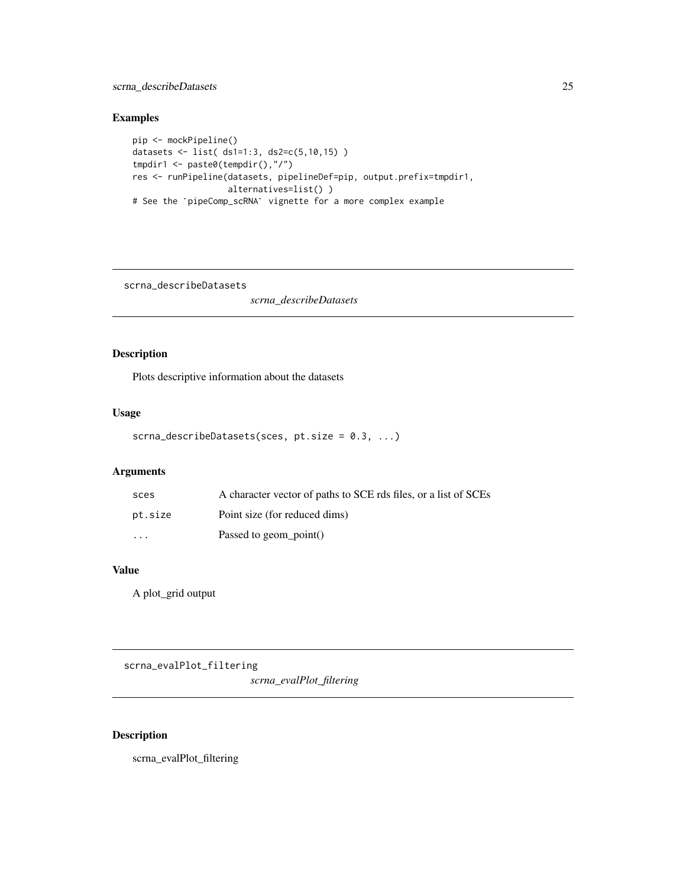## <span id="page-24-0"></span>scrna\_describeDatasets 25

## Examples

```
pip <- mockPipeline()
datasets <- list( ds1=1:3, ds2=c(5,10,15) )
tmpdir1 <- paste0(tempdir(),"/")
res <- runPipeline(datasets, pipelineDef=pip, output.prefix=tmpdir1,
                   alternatives=list() )
# See the `pipeComp_scRNA` vignette for a more complex example
```
scrna\_describeDatasets

*scrna\_describeDatasets*

## Description

Plots descriptive information about the datasets

## Usage

```
scrna_describeDatasets(sces, pt.size = 0.3, ...)
```
## Arguments

| sces                    | A character vector of paths to SCE rds files, or a list of SCEs |
|-------------------------|-----------------------------------------------------------------|
| pt.size                 | Point size (for reduced dims)                                   |
| $\cdot$ $\cdot$ $\cdot$ | Passed to geom point()                                          |

#### Value

A plot\_grid output

scrna\_evalPlot\_filtering

*scrna\_evalPlot\_filtering*

## Description

scrna\_evalPlot\_filtering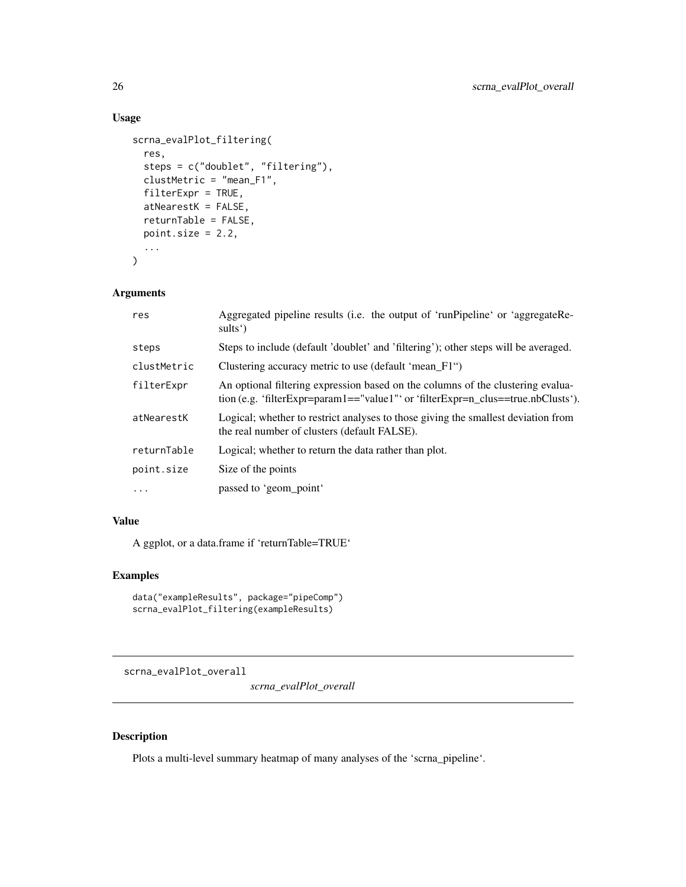## Usage

```
scrna_evalPlot_filtering(
  res,
  steps = c("doublet", "filtering"),
 clustMetric = "mean_F1",
 filterExpr = TRUE,
  atNearestK = FALSE,
  returnTable = FALSE,
 point.size = 2.2,
  ...
\mathcal{L}
```
## Arguments

| res         | Aggregated pipeline results (i.e. the output of 'runPipeline' or 'aggregateRe-<br>sults')                                                                           |
|-------------|---------------------------------------------------------------------------------------------------------------------------------------------------------------------|
| steps       | Steps to include (default 'doublet' and 'filtering'); other steps will be averaged.                                                                                 |
| clustMetric | Clustering accuracy metric to use (default 'mean_F1")                                                                                                               |
| filterExpr  | An optional filtering expression based on the columns of the clustering evalua-<br>tion (e.g. 'filterExpr=param1=="value1"' or 'filterExpr=n_clus==true.nbClusts'). |
| atNearestK  | Logical; whether to restrict analyses to those giving the smallest deviation from<br>the real number of clusters (default FALSE).                                   |
| returnTable | Logical; whether to return the data rather than plot.                                                                                                               |
| point.size  | Size of the points                                                                                                                                                  |
| $\ddotsc$   | passed to 'geom_point'                                                                                                                                              |

## Value

A ggplot, or a data.frame if 'returnTable=TRUE'

#### Examples

```
data("exampleResults", package="pipeComp")
scrna_evalPlot_filtering(exampleResults)
```
scrna\_evalPlot\_overall

*scrna\_evalPlot\_overall*

## Description

Plots a multi-level summary heatmap of many analyses of the 'scrna\_pipeline'.

<span id="page-25-0"></span>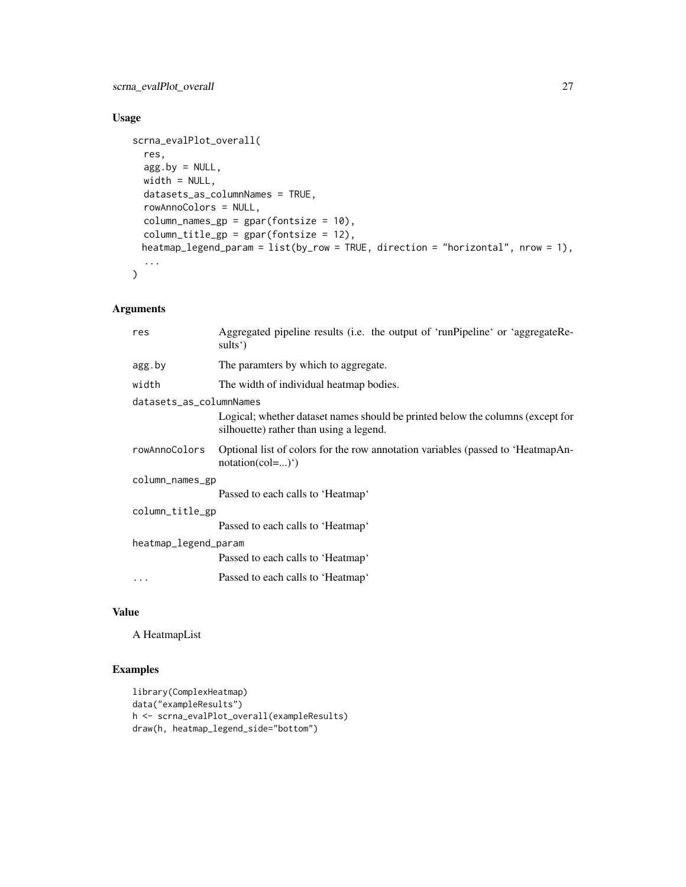## Usage

```
scrna_evalPlot_overall(
  res,
  agg.by = NULL,width = NULL,
  datasets_as_columnNames = TRUE,
  rowAnnoColors = NULL,
  column_names\_gp = gpar(fontsize = 10),column_title_gp = gpar(fontsize = 12),
 heatmap_legend_param = list(by_row = TRUE, direction = "horizontal", nrow = 1),
  ...
\mathcal{L}
```
## Arguments

| res                     | Aggregated pipeline results (i.e. the output of 'runPipeline' or 'aggregateRe-<br>sults')                                 |  |
|-------------------------|---------------------------------------------------------------------------------------------------------------------------|--|
| agg.by                  | The paramters by which to aggregate.                                                                                      |  |
| width                   | The width of individual heatmap bodies.                                                                                   |  |
| datasets_as_columnNames |                                                                                                                           |  |
|                         | Logical; whether dataset names should be printed below the columns (except for<br>silhouette) rather than using a legend. |  |
| rowAnnoColors           | Optional list of colors for the row annotation variables (passed to 'HeatmapAn-<br>$notation(col=)^{n}$                   |  |
| column_names_gp         |                                                                                                                           |  |
|                         | Passed to each calls to 'Heatmap'                                                                                         |  |
| column_title_gp         |                                                                                                                           |  |
|                         | Passed to each calls to 'Heatmap'                                                                                         |  |
| heatmap_legend_param    |                                                                                                                           |  |
|                         | Passed to each calls to 'Heatmap'                                                                                         |  |
| $\ddots$                | Passed to each calls to 'Heatmap'                                                                                         |  |

#### Value

A HeatmapList

```
library(ComplexHeatmap)
data("exampleResults")
h <- scrna_evalPlot_overall(exampleResults)
draw(h, heatmap_legend_side="bottom")
```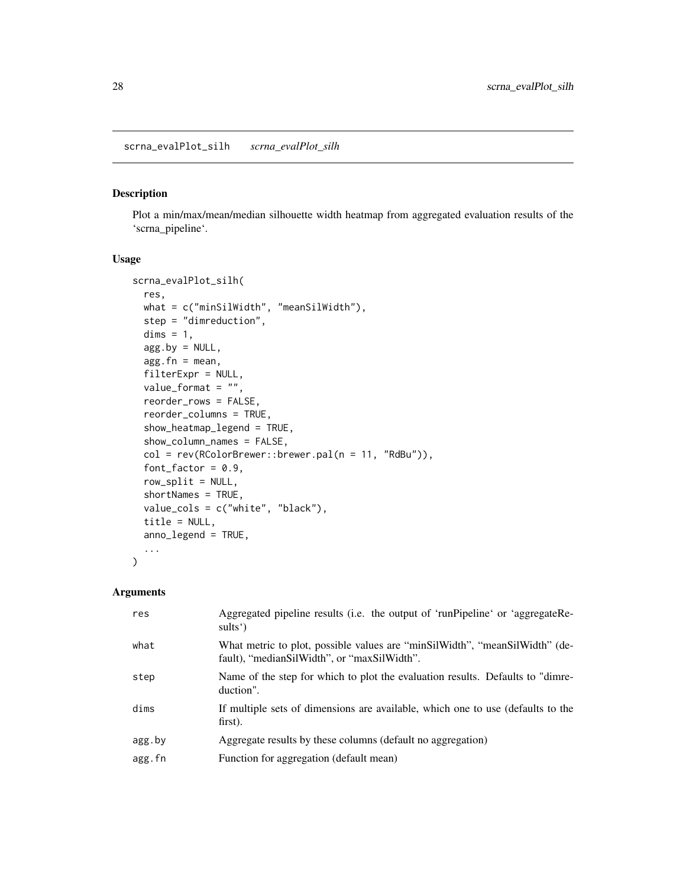#### <span id="page-27-0"></span>Description

Plot a min/max/mean/median silhouette width heatmap from aggregated evaluation results of the 'scrna\_pipeline'.

### Usage

```
scrna_evalPlot_silh(
  res,
 what = c("minSilWidth", "meanSilWidth"),
  step = "dimreduction",
  dims = 1,
  agg.by = NULL,agg.fn = mean,filterExpr = NULL,
  value_{format} = "",reorder_rows = FALSE,
  reorder_columns = TRUE,
  show_heatmap_legend = TRUE,
  show_column_names = FALSE,
  col = rev(RColorBrewer::brewer.pal(n = 11, "RdBu")),
  font\_factor = 0.9,row_split = NULL,
  shortNames = TRUE,
  value_cols = c("white", "black"),
  title = NULL,
  anno_legend = TRUE,
  ...
\mathcal{L}
```
#### Arguments

| Aggregated pipeline results (i.e. the output of 'runPipeline' or 'aggregateRe-  |
|---------------------------------------------------------------------------------|
| What metric to plot, possible values are "minSilWidth", "meanSilWidth" (de-     |
| Name of the step for which to plot the evaluation results. Defaults to "dimre-  |
| If multiple sets of dimensions are available, which one to use (defaults to the |
|                                                                                 |
|                                                                                 |
|                                                                                 |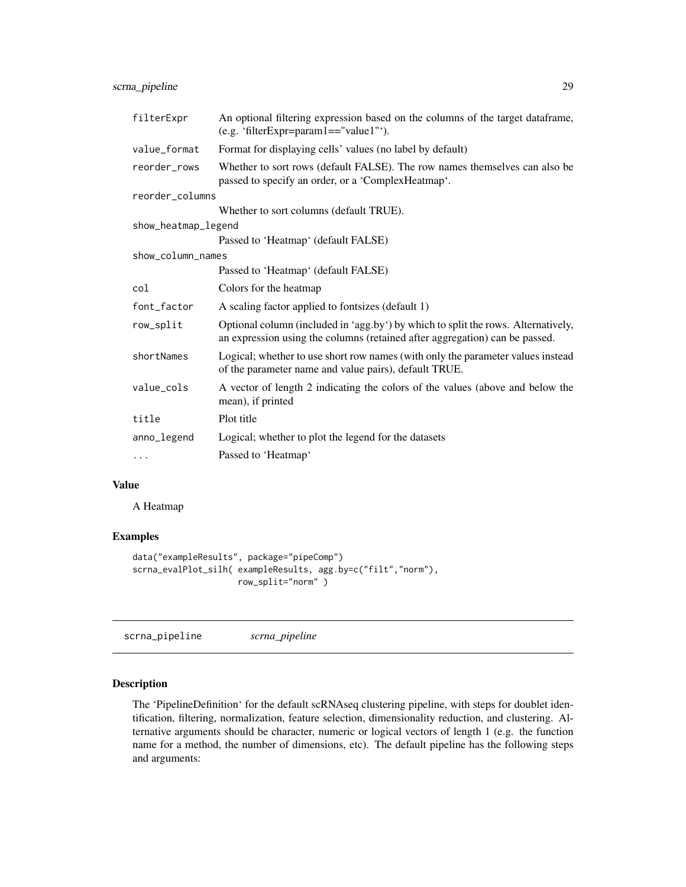<span id="page-28-0"></span>scrna\_pipeline 29

| filterExpr          | An optional filtering expression based on the columns of the target dataframe,<br>(e.g. 'filterExpr=param1=="value1"').                                          |  |
|---------------------|------------------------------------------------------------------------------------------------------------------------------------------------------------------|--|
| value_format        | Format for displaying cells' values (no label by default)                                                                                                        |  |
| reorder rows        | Whether to sort rows (default FALSE). The row names themselves can also be<br>passed to specify an order, or a 'Complex Heatmap'.                                |  |
| reorder_columns     |                                                                                                                                                                  |  |
|                     | Whether to sort columns (default TRUE).                                                                                                                          |  |
| show_heatmap_legend |                                                                                                                                                                  |  |
|                     | Passed to 'Heatmap' (default FALSE)                                                                                                                              |  |
| show_column_names   |                                                                                                                                                                  |  |
|                     | Passed to 'Heatmap' (default FALSE)                                                                                                                              |  |
| col                 | Colors for the heatmap                                                                                                                                           |  |
| font_factor         | A scaling factor applied to fontsizes (default 1)                                                                                                                |  |
| row_split           | Optional column (included in 'agg.by') by which to split the rows. Alternatively,<br>an expression using the columns (retained after aggregation) can be passed. |  |
| shortNames          | Logical; whether to use short row names (with only the parameter values instead<br>of the parameter name and value pairs), default TRUE.                         |  |
| value_cols          | A vector of length 2 indicating the colors of the values (above and below the<br>mean), if printed                                                               |  |
| title               | Plot title                                                                                                                                                       |  |
| anno_legend         | Logical; whether to plot the legend for the datasets                                                                                                             |  |
| $\cdots$            | Passed to 'Heatmap'                                                                                                                                              |  |

## Value

A Heatmap

## Examples

```
data("exampleResults", package="pipeComp")
scrna_evalPlot_silh( exampleResults, agg.by=c("filt","norm"),
                    row_split="norm" )
```
<span id="page-28-1"></span>scrna\_pipeline *scrna\_pipeline*

## Description

The 'PipelineDefinition' for the default scRNAseq clustering pipeline, with steps for doublet identification, filtering, normalization, feature selection, dimensionality reduction, and clustering. Alternative arguments should be character, numeric or logical vectors of length 1 (e.g. the function name for a method, the number of dimensions, etc). The default pipeline has the following steps and arguments: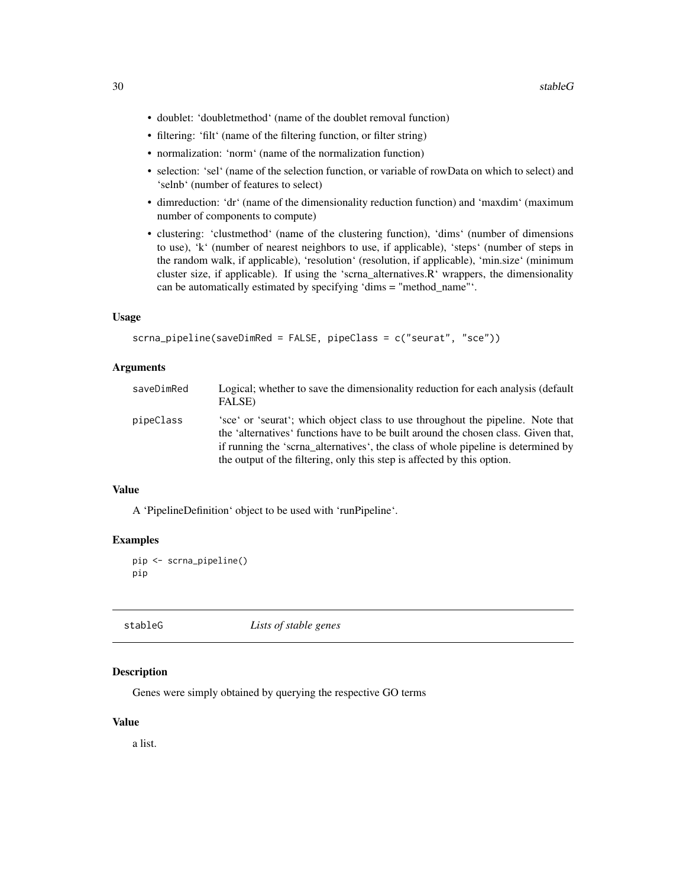- <span id="page-29-0"></span>• doublet: 'doubletmethod' (name of the doublet removal function)
- filtering: 'filt' (name of the filtering function, or filter string)
- normalization: 'norm' (name of the normalization function)
- selection: 'sel' (name of the selection function, or variable of rowData on which to select) and 'selnb' (number of features to select)
- dimreduction: 'dr' (name of the dimensionality reduction function) and 'maxdim' (maximum number of components to compute)
- clustering: 'clustmethod' (name of the clustering function), 'dims' (number of dimensions to use), 'k' (number of nearest neighbors to use, if applicable), 'steps' (number of steps in the random walk, if applicable), 'resolution' (resolution, if applicable), 'min.size' (minimum cluster size, if applicable). If using the 'scrna\_alternatives.R' wrappers, the dimensionality can be automatically estimated by specifying 'dims = "method\_name"'.

## Usage

```
scrna_pipeline(saveDimRed = FALSE, pipeClass = c("seurat", "sce"))
```
#### Arguments

| saveDimRed | Logical; whether to save the dimensionality reduction for each analysis (default<br>FALSE)                                                                                                                                                                                                                                            |
|------------|---------------------------------------------------------------------------------------------------------------------------------------------------------------------------------------------------------------------------------------------------------------------------------------------------------------------------------------|
| pipeClass  | 'sce' or 'seurat'; which object class to use throughout the pipeline. Note that<br>the 'alternatives' functions have to be built around the chosen class. Given that,<br>if running the 'scrna_alternatives', the class of whole pipeline is determined by<br>the output of the filtering, only this step is affected by this option. |

#### Value

A 'PipelineDefinition' object to be used with 'runPipeline'.

#### Examples

```
pip <- scrna_pipeline()
pip
```
stableG *Lists of stable genes*

## Description

Genes were simply obtained by querying the respective GO terms

#### Value

a list.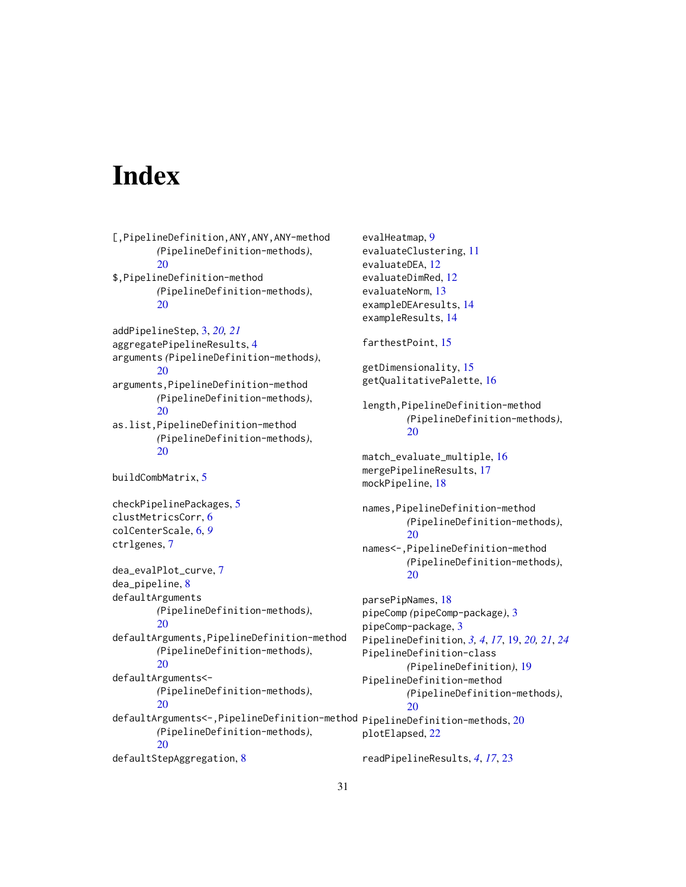# <span id="page-30-0"></span>**Index**

```
[,PipelineDefinition,ANY,ANY,ANY-method
        (PipelineDefinition-methods),
        20
$,PipelineDefinition-method
        (PipelineDefinition-methods),
        20
addPipelineStep, 3, 20, 21
aggregatePipelineResults, 4
arguments (PipelineDefinition-methods),
        20
arguments,PipelineDefinition-method
        (PipelineDefinition-methods),
        20
as.list,PipelineDefinition-method
        (PipelineDefinition-methods),
        20
buildCombMatrix, 5
checkPipelinePackages, 5
clustMetricsCorr, 6
colCenterScale, 6, 9
ctrlgenes, 7
dea_evalPlot_curve, 7
dea_pipeline, 8
defaultArguments
        (PipelineDefinition-methods),
        20
defaultArguments,PipelineDefinition-method
        (PipelineDefinition-methods),
        20
defaultArguments<-
        (PipelineDefinition-methods),
        20
<code>defaultArguments<–,PipelineDefinition–method</code> <code>pipelineDefinition–methods,20</code>
        (PipelineDefinition-methods),
        20
defaultStepAggregation, 8
                                                         20
                                                         20
                                                         20
                                                         20
```
evalHeatmap, [9](#page-8-0) evaluateClustering, [11](#page-10-0) evaluateDEA, [12](#page-11-0) evaluateDimRed, [12](#page-11-0) evaluateNorm, [13](#page-12-0) exampleDEAresults, [14](#page-13-0) exampleResults, [14](#page-13-0) farthestPoint, [15](#page-14-0) getDimensionality, [15](#page-14-0) getQualitativePalette, [16](#page-15-0) length,PipelineDefinition-method *(*PipelineDefinition-methods*)*, match\_evaluate\_multiple, [16](#page-15-0) mergePipelineResults, [17](#page-16-0) mockPipeline, [18](#page-17-0) names,PipelineDefinition-method *(*PipelineDefinition-methods*)*, names<-,PipelineDefinition-method *(*PipelineDefinition-methods*)*, parsePipNames, [18](#page-17-0) pipeComp *(*pipeComp-package*)*, [3](#page-2-0) pipeComp-package, [3](#page-2-0) PipelineDefinition, *[3,](#page-2-0) [4](#page-3-0)*, *[17](#page-16-0)*, [19,](#page-18-0) *[20,](#page-19-0) [21](#page-20-0)*, *[24](#page-23-0)* PipelineDefinition-class *(*PipelineDefinition*)*, [19](#page-18-0) PipelineDefinition-method *(*PipelineDefinition-methods*)*, plotElapsed, [22](#page-21-0)

readPipelineResults, *[4](#page-3-0)*, *[17](#page-16-0)*, [23](#page-22-0)